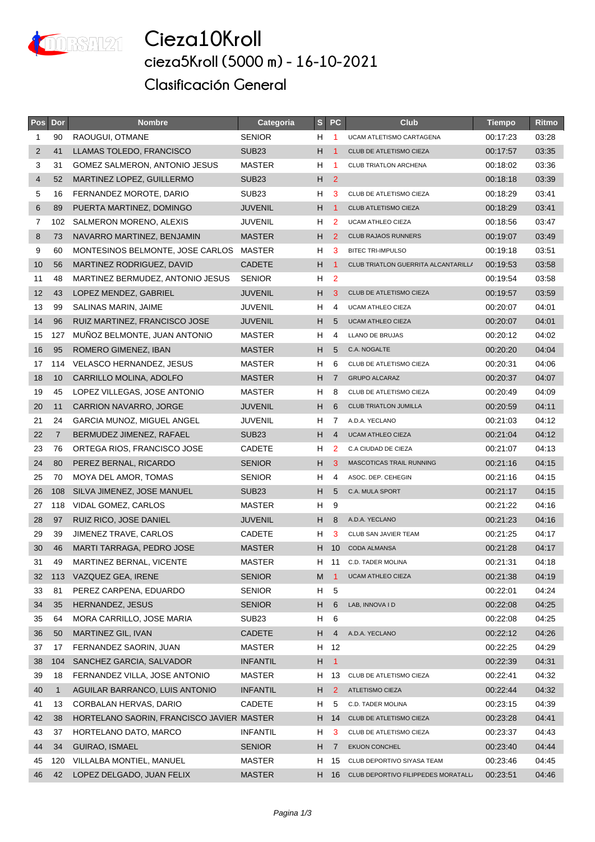

**Cieza10Kroll cieza5Kroll (5000 m) - 16-10-2021 Clasificación General**

| Pos         | Dor            | <b>Nombre</b>                             | Categoria         | S     | <b>PC</b>            | <b>Club</b>                         | <b>Tiempo</b> | Ritmo |
|-------------|----------------|-------------------------------------------|-------------------|-------|----------------------|-------------------------------------|---------------|-------|
| $\mathbf 1$ | 90             | RAOUGUI, OTMANE                           | <b>SENIOR</b>     | H.    | $\overline{1}$       | UCAM ATLETISMO CARTAGENA            | 00:17:23      | 03:28 |
| 2           | 41             | LLAMAS TOLEDO, FRANCISCO                  | SUB <sub>23</sub> | H.    | $\overline{1}$       | CLUB DE ATLETISMO CIEZA             | 00:17:57      | 03:35 |
| 3           | 31             | GOMEZ SALMERON, ANTONIO JESUS             | MASTER            | H     | $\blacktriangleleft$ | CLUB TRIATLON ARCHENA               | 00:18:02      | 03:36 |
| 4           | 52             | <b>MARTINEZ LOPEZ, GUILLERMO</b>          | SUB <sub>23</sub> | H.    | $\overline{2}$       |                                     | 00:18:18      | 03:39 |
| 5           | 16             | FERNANDEZ MOROTE, DARIO                   | SUB <sub>23</sub> | H     | 3                    | CLUB DE ATLETISMO CIEZA             | 00:18:29      | 03:41 |
| 6           | 89             | PUERTA MARTINEZ, DOMINGO                  | <b>JUVENIL</b>    | H.    | $\blacksquare$       | <b>CLUB ATLETISMO CIEZA</b>         | 00:18:29      | 03:41 |
| 7           | 102            | SALMERON MORENO, ALEXIS                   | <b>JUVENIL</b>    | H     | $\overline{2}$       | <b>UCAM ATHLEO CIEZA</b>            | 00:18:56      | 03:47 |
| 8           | 73             | NAVARRO MARTINEZ, BENJAMIN                | <b>MASTER</b>     | H     | 2                    | <b>CLUB RAJAOS RUNNERS</b>          | 00:19:07      | 03:49 |
| 9           | 60             | MONTESINOS BELMONTE, JOSE CARLOS          | MASTER            | H     | 3                    | <b>BITEC TRI-IMPULSO</b>            | 00:19:18      | 03:51 |
| 10          | 56             | MARTINEZ RODRIGUEZ, DAVID                 | <b>CADETE</b>     | H     | $\overline{1}$       | CLUB TRIATLON GUERRITA ALCANTARILLA | 00:19:53      | 03:58 |
| 11          | 48             | MARTINEZ BERMUDEZ, ANTONIO JESUS          | <b>SENIOR</b>     | H     | $\overline{2}$       |                                     | 00:19:54      | 03:58 |
| 12          | 43             | LOPEZ MENDEZ, GABRIEL                     | <b>JUVENIL</b>    | H.    | 3                    | CLUB DE ATLETISMO CIEZA             | 00:19:57      | 03:59 |
| 13          | 99             | SALINAS MARIN, JAIME                      | <b>JUVENIL</b>    | H.    | 4                    | UCAM ATHLEO CIEZA                   | 00:20:07      | 04:01 |
| 14          | 96             | RUIZ MARTINEZ, FRANCISCO JOSE             | <b>JUVENIL</b>    | H.    | 5                    | <b>UCAM ATHLEO CIEZA</b>            | 00:20:07      | 04:01 |
| 15          | 127            | MUÑOZ BELMONTE, JUAN ANTONIO              | MASTER            | H     | 4                    | LLANO DE BRUJAS                     | 00:20:12      | 04:02 |
| 16          | 95             | ROMERO GIMENEZ, IBAN                      | <b>MASTER</b>     | H.    | 5                    | C.A. NOGALTE                        | 00:20:20      | 04:04 |
| 17          | 114            | VELASCO HERNANDEZ, JESUS                  | MASTER            | H     | 6                    | CLUB DE ATLETISMO CIEZA             | 00:20:31      | 04:06 |
| 18          | 10             | CARRILLO MOLINA, ADOLFO                   | <b>MASTER</b>     | H     | $\overline{7}$       | <b>GRUPO ALCARAZ</b>                | 00:20:37      | 04:07 |
| 19          | 45             | LOPEZ VILLEGAS, JOSE ANTONIO              | MASTER            | H     | 8                    | CLUB DE ATLETISMO CIEZA             | 00:20:49      | 04:09 |
| 20          | 11             | <b>CARRION NAVARRO, JORGE</b>             | <b>JUVENIL</b>    | H     | 6                    | <b>CLUB TRIATLON JUMILLA</b>        | 00:20:59      | 04:11 |
| 21          | 24             | GARCIA MUNOZ, MIGUEL ANGEL                | <b>JUVENIL</b>    | H.    | 7                    | A.D.A. YECLANO                      | 00:21:03      | 04:12 |
| 22          | $\overline{7}$ | BERMUDEZ JIMENEZ, RAFAEL                  | SUB <sub>23</sub> | H.    | $\overline{4}$       | <b>UCAM ATHLEO CIEZA</b>            | 00:21:04      | 04:12 |
| 23          | 76             | ORTEGA RIOS, FRANCISCO JOSE               | <b>CADETE</b>     | H.    | $\overline{2}$       | C.A CIUDAD DE CIEZA                 | 00:21:07      | 04:13 |
| 24          | 80             | PEREZ BERNAL, RICARDO                     | <b>SENIOR</b>     | H.    | 3                    | MASCOTICAS TRAIL RUNNING            | 00:21:16      | 04:15 |
| 25          | 70             | MOYA DEL AMOR, TOMAS                      | <b>SENIOR</b>     | H     | 4                    | ASOC. DEP. CEHEGIN                  | 00:21:16      | 04:15 |
| 26          | 108            | SILVA JIMENEZ, JOSE MANUEL                | SUB <sub>23</sub> | H.    | 5                    | C.A. MULA SPORT                     | 00:21:17      | 04:15 |
| 27          | 118            | VIDAL GOMEZ, CARLOS                       | MASTER            | H     | 9                    |                                     | 00:21:22      | 04:16 |
| 28          | 97             | RUIZ RICO, JOSE DANIEL                    | <b>JUVENIL</b>    | $H_8$ |                      | A.D.A. YECLANO                      | 00:21:23      | 04:16 |
| 29          | 39             | JIMENEZ TRAVE, CARLOS                     | <b>CADETE</b>     | H     | 3                    | CLUB SAN JAVIER TEAM                | 00:21:25      | 04:17 |
| 30          | 46             | MARTI TARRAGA, PEDRO JOSE                 | <b>MASTER</b>     | H.    | 10                   | <b>CODA ALMANSA</b>                 | 00:21:28      | 04:17 |
| 31          | 49             | MARTINEZ BERNAL, VICENTE                  | <b>MASTER</b>     | H.    |                      | 11 C.D. TADER MOLINA                | 00:21:31      | 04:18 |
| 32          | 113            | VAZQUEZ GEA, IRENE                        | <b>SENIOR</b>     | M     | $\overline{1}$       | <b>UCAM ATHLEO CIEZA</b>            | 00:21:38      | 04:19 |
| 33          | 81             | PEREZ CARPENA, EDUARDO                    | <b>SENIOR</b>     | H.    | 5                    |                                     | 00:22:01      | 04:24 |
| 34          | 35             | HERNANDEZ, JESUS                          | <b>SENIOR</b>     | H.    | 6                    | LAB, INNOVA I D                     | 00:22:08      | 04:25 |
| 35          | 64             | MORA CARRILLO, JOSE MARIA                 | SUB <sub>23</sub> | H.    | 6                    |                                     | 00:22:08      | 04:25 |
| 36          | 50             | MARTINEZ GIL, IVAN                        | CADETE            | H     | 4                    | A.D.A. YECLANO                      | 00:22:12      | 04:26 |
| 37          | 17             | FERNANDEZ SAORIN, JUAN                    | MASTER            | H.    | 12                   |                                     | 00:22:25      | 04:29 |
| 38          | 104            | SANCHEZ GARCIA, SALVADOR                  | <b>INFANTIL</b>   | H     | $\vert$ 1            |                                     | 00:22:39      | 04:31 |
| 39          | 18             | FERNANDEZ VILLA, JOSE ANTONIO             | MASTER            | H     | 13                   | CLUB DE ATLETISMO CIEZA             | 00:22:41      | 04:32 |
| 40          | $\mathbf{1}$   | AGUILAR BARRANCO, LUIS ANTONIO            | <b>INFANTIL</b>   | H     | $\overline{2}$       | ATLETISMO CIEZA                     | 00:22:44      | 04:32 |
| 41          | 13             | CORBALAN HERVAS, DARIO                    | <b>CADETE</b>     | H     | 5                    | C.D. TADER MOLINA                   | 00:23:15      | 04:39 |
| 42          | 38             | HORTELANO SAORIN, FRANCISCO JAVIER MASTER |                   |       | H 14                 | CLUB DE ATLETISMO CIEZA             | 00:23:28      | 04:41 |
| 43          | 37             | HORTELANO DATO, MARCO                     | <b>INFANTIL</b>   | H.    | 3                    | CLUB DE ATLETISMO CIEZA             | 00:23:37      | 04:43 |
| 44          | 34             | GUIRAO, ISMAEL                            | <b>SENIOR</b>     | H     | $\overline{7}$       | <b>EKUON CONCHEL</b>                | 00:23:40      | 04:44 |
| 45          | 120            | VILLALBA MONTIEL, MANUEL                  | MASTER            | H.    | 15                   | CLUB DEPORTIVO SIYASA TEAM          | 00:23:46      | 04:45 |
| 46          | 42             | LOPEZ DELGADO, JUAN FELIX                 | <b>MASTER</b>     | H.    | 16                   | CLUB DEPORTIVO FILIPPEDES MORATALL/ | 00:23:51      | 04:46 |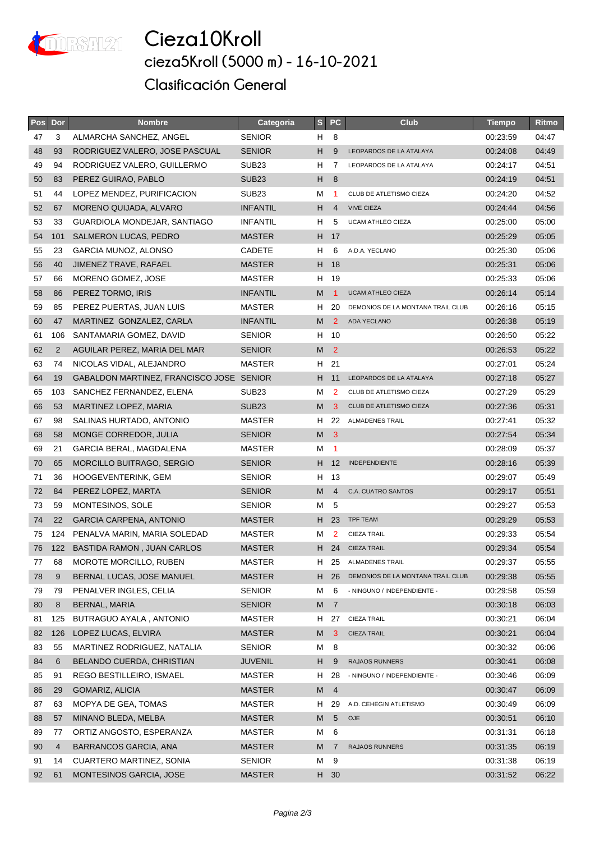

**Cieza10Kroll cieza5Kroll (5000 m) - 16-10-2021 Clasificación General**

| <b>Pos</b> | Dor            | <b>Nombre</b>                            | Categoria         | S              | <b>PC</b>       | <b>Club</b>                       | <b>Tiempo</b> | Ritmo |
|------------|----------------|------------------------------------------|-------------------|----------------|-----------------|-----------------------------------|---------------|-------|
| 47         | 3              | ALMARCHA SANCHEZ, ANGEL                  | <b>SENIOR</b>     | H 8            |                 |                                   | 00:23:59      | 04:47 |
| 48         | 93             | RODRIGUEZ VALERO, JOSE PASCUAL           | <b>SENIOR</b>     | H.             | 9               | LEOPARDOS DE LA ATALAYA           | 00:24:08      | 04:49 |
| 49         | 94             | RODRIGUEZ VALERO, GUILLERMO              | SUB <sub>23</sub> | H              | 7               | LEOPARDOS DE LA ATALAYA           | 00:24:17      | 04:51 |
| 50         | 83             | PEREZ GUIRAO, PABLO                      | SUB <sub>23</sub> | H.             | 8               |                                   | 00:24:19      | 04:51 |
| 51         | 44             | LOPEZ MENDEZ, PURIFICACION               | SUB <sub>23</sub> | м              | -1              | CLUB DE ATLETISMO CIEZA           | 00:24:20      | 04:52 |
| 52         | 67             | MORENO QUIJADA, ALVARO                   | <b>INFANTIL</b>   | H.             | $\overline{4}$  | <b>VIVE CIEZA</b>                 | 00:24:44      | 04:56 |
| 53         | 33             | GUARDIOLA MONDEJAR, SANTIAGO             | <b>INFANTIL</b>   | H              | 5               | <b>UCAM ATHLEO CIEZA</b>          | 00:25:00      | 05:00 |
| 54         | 101            | SALMERON LUCAS, PEDRO                    | <b>MASTER</b>     |                | H 17            |                                   | 00:25:29      | 05:05 |
| 55         | 23             | GARCIA MUNOZ, ALONSO                     | CADETE            | H              | 6               | A.D.A. YECLANO                    | 00:25:30      | 05:06 |
| 56         | 40             | JIMENEZ TRAVE, RAFAEL                    | <b>MASTER</b>     |                | H 18            |                                   | 00:25:31      | 05:06 |
| 57         | 66             | MORENO GOMEZ, JOSE                       | MASTER            | H              | - 19            |                                   | 00:25:33      | 05:06 |
| 58         | 86             | PEREZ TORMO, IRIS                        | <b>INFANTIL</b>   | M              | $\overline{1}$  | <b>UCAM ATHLEO CIEZA</b>          | 00:26:14      | 05:14 |
| 59         | 85             | PEREZ PUERTAS, JUAN LUIS                 | MASTER            | H              | 20              | DEMONIOS DE LA MONTANA TRAIL CLUB | 00:26:16      | 05:15 |
| 60         | 47             | MARTINEZ GONZALEZ, CARLA                 | <b>INFANTIL</b>   | M              | $\overline{2}$  | <b>ADA YECLANO</b>                | 00:26:38      | 05:19 |
| 61         | 106            | SANTAMARIA GOMEZ, DAVID                  | <b>SENIOR</b>     |                | H 10            |                                   | 00:26:50      | 05:22 |
| 62         | $\overline{2}$ | AGUILAR PEREZ, MARIA DEL MAR             | <b>SENIOR</b>     | M              | $\overline{2}$  |                                   | 00:26:53      | 05:22 |
| 63         | 74             | NICOLAS VIDAL, ALEJANDRO                 | MASTER            | H.             | 21              |                                   | 00:27:01      | 05:24 |
| 64         | 19             | GABALDON MARTINEZ, FRANCISCO JOSE SENIOR |                   | H.             | 11              | LEOPARDOS DE LA ATALAYA           | 00:27:18      | 05:27 |
| 65         | 103            | SANCHEZ FERNANDEZ, ELENA                 | SUB <sub>23</sub> | м              | 2               | CLUB DE ATLETISMO CIEZA           | 00:27:29      | 05:29 |
| 66         | 53             | MARTINEZ LOPEZ, MARIA                    | SUB <sub>23</sub> | M              | 3               | CLUB DE ATLETISMO CIEZA           | 00:27:36      | 05:31 |
| 67         | 98             | SALINAS HURTADO, ANTONIO                 | MASTER            | H              | 22              | <b>ALMADENES TRAIL</b>            | 00:27:41      | 05:32 |
| 68         | 58             | <b>MONGE CORREDOR, JULIA</b>             | <b>SENIOR</b>     | M              | $\mathbf{3}$    |                                   | 00:27:54      | 05:34 |
| 69         | 21             | GARCIA BERAL, MAGDALENA                  | MASTER            | м              | $\overline{1}$  |                                   | 00:28:09      | 05:37 |
| 70         | 65             | MORCILLO BUITRAGO, SERGIO                | <b>SENIOR</b>     | H.             | 12              | <b>INDEPENDIENTE</b>              | 00:28:16      | 05:39 |
| 71         | 36             | HOOGEVENTERINK, GEM                      | <b>SENIOR</b>     | H              | 13              |                                   | 00:29:07      | 05:49 |
| 72         | 84             | PEREZ LOPEZ, MARTA                       | <b>SENIOR</b>     | M              | $\overline{4}$  | C.A. CUATRO SANTOS                | 00:29:17      | 05:51 |
| 73         | 59             | MONTESINOS, SOLE                         | <b>SENIOR</b>     | М              | -5              |                                   | 00:29:27      | 05:53 |
| 74         | 22             | GARCIA CARPENA, ANTONIO                  | <b>MASTER</b>     |                | H 23            | <b>TPF TEAM</b>                   | 00:29:29      | 05:53 |
| 75         | 124            | PENALVA MARIN, MARIA SOLEDAD             | <b>MASTER</b>     | м              | $\overline{2}$  | <b>CIEZA TRAIL</b>                | 00:29:33      | 05:54 |
| 76         | 122            | BASTIDA RAMON, JUAN CARLOS               | <b>MASTER</b>     | H.             | 24              | <b>CIEZA TRAIL</b>                | 00:29:34      | 05:54 |
| 77         | 68             | <b>MOROTE MORCILLO, RUBEN</b>            | <b>MASTER</b>     | H.             |                 | 25 ALMADENES TRAIL                | 00:29:37      | 05:55 |
| 78         | 9              | BERNAL LUCAS, JOSE MANUEL                | <b>MASTER</b>     | H.             | 26              | DEMONIOS DE LA MONTANA TRAIL CLUB | 00:29:38      | 05:55 |
| 79         | 79             | PENALVER INGLES, CELIA                   | <b>SENIOR</b>     | м              | 6               | - NINGUNO / INDEPENDIENTE -       | 00:29:58      | 05:59 |
| 80         | 8              | BERNAL, MARIA                            | <b>SENIOR</b>     | M <sub>7</sub> |                 |                                   | 00:30:18      | 06:03 |
| 81         | 125            | BUTRAGUO AYALA, ANTONIO                  | MASTER            | H.             | 27              | <b>CIEZA TRAIL</b>                | 00:30:21      | 06:04 |
| 82         | 126            | LOPEZ LUCAS, ELVIRA                      | <b>MASTER</b>     | M              | $\mathbf{3}$    | <b>CIEZA TRAIL</b>                | 00:30:21      | 06:04 |
| 83         | 55             | MARTINEZ RODRIGUEZ, NATALIA              | <b>SENIOR</b>     | М              | 8               |                                   | 00:30:32      | 06:06 |
| 84         | 6              | BELANDO CUERDA, CHRISTIAN                | <b>JUVENIL</b>    | Н.             | 9               | <b>RAJAOS RUNNERS</b>             | 00:30:41      | 06:08 |
| 85         | 91             | REGO BESTILLEIRO, ISMAEL                 | MASTER            | H,             | 28              | - NINGUNO / INDEPENDIENTE -       | 00:30:46      | 06:09 |
| 86         | 29             | GOMARIZ, ALICIA                          | <b>MASTER</b>     | ${\sf M}$      | $\overline{4}$  |                                   | 00:30:47      | 06:09 |
| 87         | 63             | MOPYA DE GEA, TOMAS                      | MASTER            | H              | 29              | A.D. CEHEGIN ATLETISMO            | 00:30:49      | 06:09 |
| 88         | 57             | MINANO BLEDA, MELBA                      | <b>MASTER</b>     | M              | $5\phantom{.0}$ | <b>OJE</b>                        | 00:30:51      | 06:10 |
| 89         | 77             | ORTIZ ANGOSTO, ESPERANZA                 | MASTER            | м              | 6               |                                   | 00:31:31      | 06:18 |
| 90         | 4              | BARRANCOS GARCIA, ANA                    | <b>MASTER</b>     | M              | $\overline{7}$  | RAJAOS RUNNERS                    | 00:31:35      | 06:19 |
| 91         | 14             | <b>CUARTERO MARTINEZ, SONIA</b>          | <b>SENIOR</b>     | М              | 9               |                                   | 00:31:38      | 06:19 |
| 92         | 61             | MONTESINOS GARCIA, JOSE                  | <b>MASTER</b>     |                | H 30            |                                   | 00:31:52      | 06:22 |